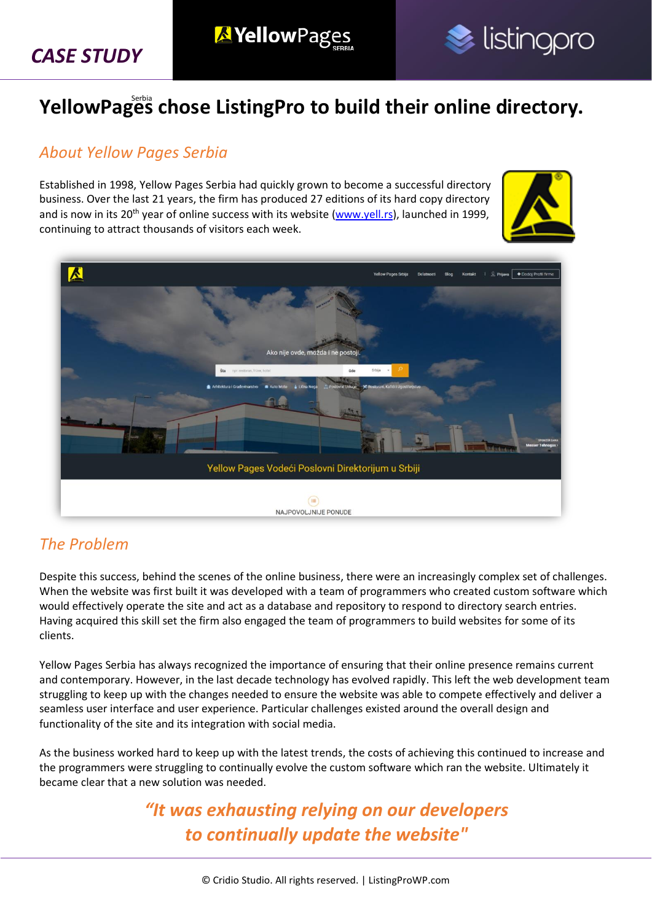*CASE STUDY*





## **YellowPages chose ListingPro to build their online directory.** Serbia

#### *About Yellow Pages Serbia*

Established in 1998, Yellow Pages Serbia had quickly grown to become a successful directory business. Over the last 21 years, the firm has produced 27 editions of its hard copy directory and is now in its 20<sup>th</sup> year of online success with its website [\(www.yell.rs\)](http://yell.rs/), launched in 1999, continuing to attract thousands of visitors each week.





#### *The Problem*

Despite this success, behind the scenes of the online business, there were an increasingly complex set of challenges. When the website was first built it was developed with a team of programmers who created custom software which would effectively operate the site and act as a database and repository to respond to directory search entries. Having acquired this skill set the firm also engaged the team of programmers to build websites for some of its clients.

Yellow Pages Serbia has always recognized the importance of ensuring that their online presence remains current and contemporary. However, in the last decade technology has evolved rapidly. This left the web development team struggling to keep up with the changes needed to ensure the website was able to compete effectively and deliver a seamless user interface and user experience. Particular challenges existed around the overall design and functionality of the site and its integration with social media.

As the business worked hard to keep up with the latest trends, the costs of achieving this continued to increase and the programmers were struggling to continually evolve the custom software which ran the website. Ultimately it became clear that a new solution was needed.

> *"It was exhausting relying on our developers to continually update the website"*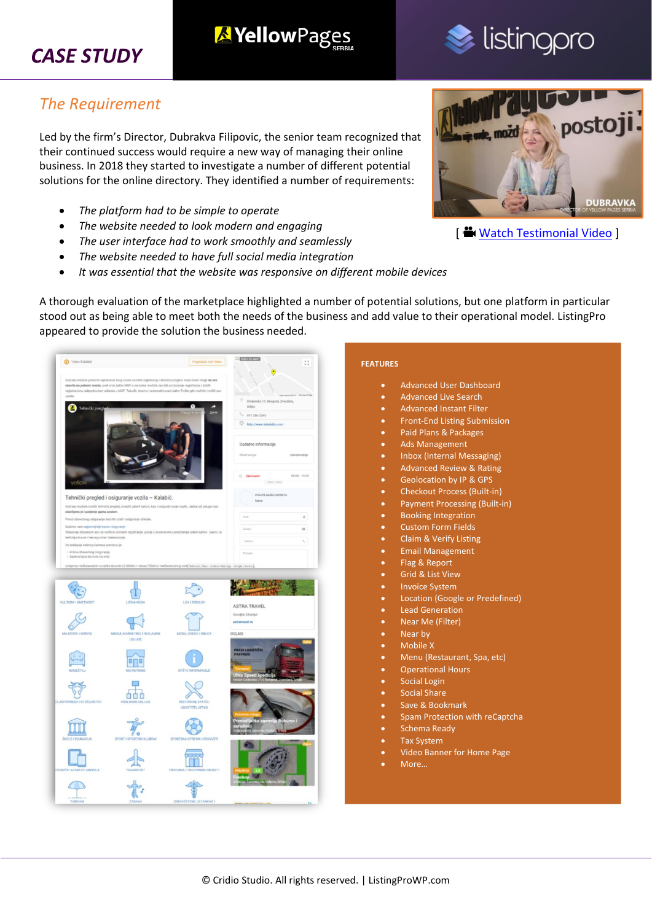## *CASE STUDY*

#### *The Requirement*

Led by the firm's Director, Dubrakva Filipovic, the senior team recognized that their continued success would require a new way of managing their online business. In 2018 they started to investigate a number of different potential solutions for the online directory. They identified a number of requirements:

**X**YellowPages

- *The platform had to be simple to operate*
- *The website needed to look modern and engaging*
- *The user interface had to work smoothly and seamlessly*
- *The website needed to have full social media integration*
- *It was essential that the website was responsive on different mobile devices*

A thorough evaluation of the marketplace highlighted a number of potential solutions, but one platform in particular stood out as being able to meet both the needs of the business and add value to their operational model. ListingPro appeared to provide the solution the business needed.

| C Video Kalabić<br>Pogedate nat Video                                                                                                                                                                                       | <b>CO EXISTING CONTROL</b><br>11          | <b>FEATURES</b>                                   |
|-----------------------------------------------------------------------------------------------------------------------------------------------------------------------------------------------------------------------------|-------------------------------------------|---------------------------------------------------|
| Ked nas možete proveriti ispravnost svog vozila i izvršiti registraciju i tehnički pregled. Kako bisle mogli da sve                                                                                                         |                                           |                                                   |
| obavite na jednom mestu, uvrši smo šalter MUP-a na kome možete završiti produženje registracije i dobiti<br>registracionu nalepnicu bez odlaska u MUP. Takođe, imamo i automatizovani kalter Polite gde možete izvršiti sve |                                           | <b>Advanced User Dashboard</b><br>$\bullet$       |
| izdate                                                                                                                                                                                                                      | ÷<br>Ilindenska 17, Beograd, Zvezdara,    | <b>Advanced Live Search</b><br>$\bullet$          |
| Tehnički pregis<br>Z.                                                                                                                                                                                                       | Srbija<br>€ 011 286 2543                  | <b>Advanced Instant Filter</b><br>$\bullet$       |
|                                                                                                                                                                                                                             | <b>D</b> http://www.tpkalabic.com         | <b>Front-End Listing Submission</b><br>$\bullet$  |
|                                                                                                                                                                                                                             |                                           | Paid Plans & Packages<br>$\bullet$                |
|                                                                                                                                                                                                                             | Dodatne informacije                       | <b>Ads Management</b><br>$\bullet$                |
|                                                                                                                                                                                                                             | Rezervacia<br>Zeknzivonie                 | Inbox (Internal Messaging)<br>$\bullet$           |
|                                                                                                                                                                                                                             |                                           | <b>Advanced Review &amp; Rating</b><br>$\bullet$  |
|                                                                                                                                                                                                                             | 08:00 - 14:30<br>S Zatro                  | <b>Geolocation by IP &amp; GPS</b><br>$\bullet$   |
|                                                                                                                                                                                                                             |                                           | <b>Checkout Process (Built-in)</b><br>$\bullet$   |
| Tehnički pregled i osiguranje vozila - Kalabić.                                                                                                                                                                             | PITAJTE NAŽEG EXPERTA<br><b>Tyanta</b>    | <b>Payment Processing (Built-in)</b><br>$\bullet$ |
| Kod nas možete izvršiti tehnički pregled, izvadili zeleni karton, kao i osigurati svoje vozilo. Jedna od usluga koje<br>obavljamo je i punjenje guma azotom                                                                 |                                           | <b>Booking Integration</b><br>$\bullet$           |
| Pored obaveznog osiguranja mozete uzeti i osiguranje stakala.<br>Natimo vam naipovolinie kasko osiguranje                                                                                                                   | <b>Inch</b><br>ă                          | <b>Custom Form Fields</b><br>$\bullet$            |
| Obevezan doisament alio se voziliom domade registracije putuje u Inostranstvo predstavlja zeleni karton. (samo za<br>teritoriju flosne i Hercegovine i Makedonise).                                                         | <b>Grad</b><br>$\equiv$                   |                                                   |
| Za dobljanje zelenog kartona potrebno je:                                                                                                                                                                                   | Tylelon                                   | <b>Claim &amp; Verify Listing</b><br>$\bullet$    |
| · Polsa obaveznog osiguranja<br>· Sactračajna dozvola na uvid.                                                                                                                                                              | President                                 | <b>Email Management</b><br>$\bullet$              |
| Ustajemo međunarodne vozačke dozvote (2.000din + taksa 730din) i međunarodnog ovloj Ratimur, Pete - Dutook Web App - Google Circme                                                                                          |                                           | Flag & Report<br>$\bullet$                        |
|                                                                                                                                                                                                                             |                                           | <b>Grid &amp; List View</b><br>$\bullet$          |
|                                                                                                                                                                                                                             |                                           | <b>Invoice System</b><br>$\bullet$                |
| KLILTURA / UMETNOST<br>LOVIRBOLOV<br><b>LICHA NEGA</b>                                                                                                                                                                      |                                           | Location (Google or Predefined)<br>$\bullet$      |
|                                                                                                                                                                                                                             | <b>ASTRA TRAVEL</b><br>Osvojite Sitonijut | <b>Lead Generation</b><br>$\bullet$               |
|                                                                                                                                                                                                                             | astratravel.rs                            | Near Me (Filter)<br>$\bullet$                     |
| MAJISTORI I REDVISI<br>MEDLIL MADISTRIC LIBRO AMME<br>MODA ODEČA LOBISČA                                                                                                                                                    | OGI ASI                                   | Near by<br>$\bullet$                              |
| <b>USLUGE</b>                                                                                                                                                                                                               |                                           | Mobile X<br>$\bullet$                             |
|                                                                                                                                                                                                                             | <b>PRAVI LOGISTIČK</b>                    | Menu (Restaurant, Spa, etc)<br>$\bullet$          |
| 000<br>OPSTE INFORMACLIE<br><b>NAMESTA</b><br><b>NEXISTNING</b>                                                                                                                                                             |                                           | <b>Operational Hours</b><br>$\bullet$             |
|                                                                                                                                                                                                                             |                                           | <b>Social Login</b><br>$\bullet$                  |
|                                                                                                                                                                                                                             |                                           | <b>Social Share</b>                               |
| DVERS OUT A LATENCE<br><b>DESTINANA KAFIČI I</b><br>POR OVNE USLUGE                                                                                                                                                         |                                           | $\bullet$                                         |
| UGOSTITELJSTVO                                                                                                                                                                                                              |                                           | Save & Bookmark<br>$\bullet$                      |
|                                                                                                                                                                                                                             |                                           | Spam Protection with reCaptcha<br>$\bullet$       |
|                                                                                                                                                                                                                             |                                           | Schema Ready<br>$\bullet$                         |
| SPORTSKA OPREMA I REKVIZITI<br>SKOLE I EDLIKACIJA<br>SPORT I SPORTSKI KLUBOVI                                                                                                                                               |                                           | <b>Tax System</b><br>$\bullet$                    |
|                                                                                                                                                                                                                             |                                           | Video Banner for Home Page<br>$\bullet$           |
| EMBERIA ASABA YEL ERREALE<br>TEAMEROE<br>TECHNIA I TECHNINGO DR.IECTI                                                                                                                                                       |                                           | More                                              |
|                                                                                                                                                                                                                             |                                           |                                                   |
|                                                                                                                                                                                                                             |                                           |                                                   |
| TUREZAM<br><b>ZABAVA</b><br>ZDRAVSTVENE USTANOVE I                                                                                                                                                                          |                                           |                                                   |



[ [Watch Testimonial Video](https://www.youtube.com/watch?v=hB4k0_ktkgE) ]

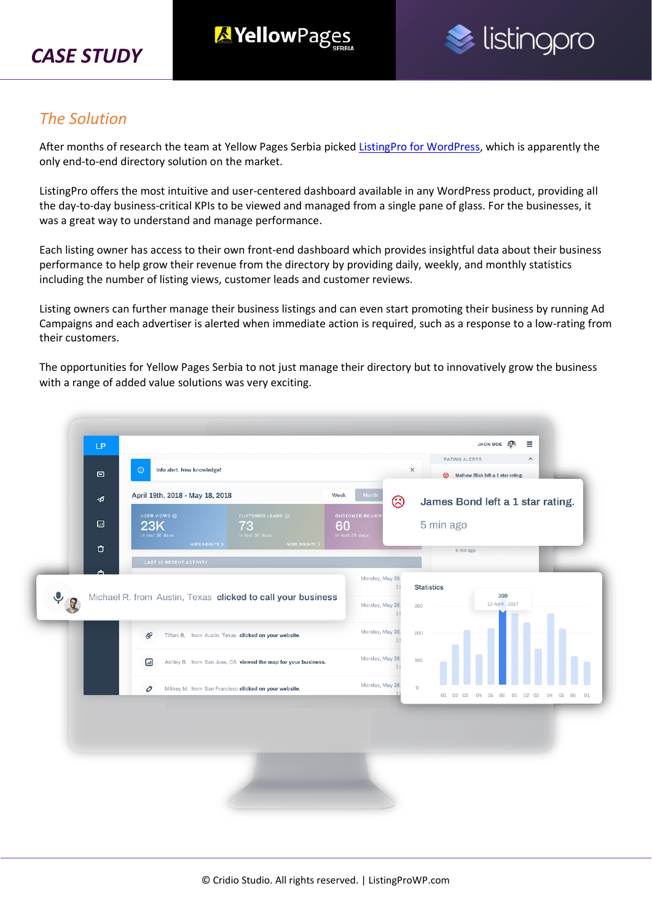



#### *The Solution*

After months of research the team at Yellow Pages Serbia picked ListingPro [for WordPress,](https://1.envato.market/listingprowp) which is apparently the only end-to-end directory solution on the market.

ListingPro offers the most intuitive and user-centered dashboard available in any WordPress product, providing all the day-to-day business-critical KPIs to be viewed and managed from a single pane of glass. For the businesses, it was a great way to understand and manage performance.

Each listing owner has access to their own front-end dashboard which provides insightful data about their business performance to help grow their revenue from the directory by providing daily, weekly, and monthly statistics including the number of listing views, customer leads and customer reviews.

Listing owners can further manage their business listings and can even start promoting their business by running Ad Campaigns and each advertiser is alerted when immediate action is required, such as a response to a low-rating from their customers.

The opportunities for Yellow Pages Serbia to not just manage their directory but to innovatively grow the business with a range of added value solutions was very exciting.